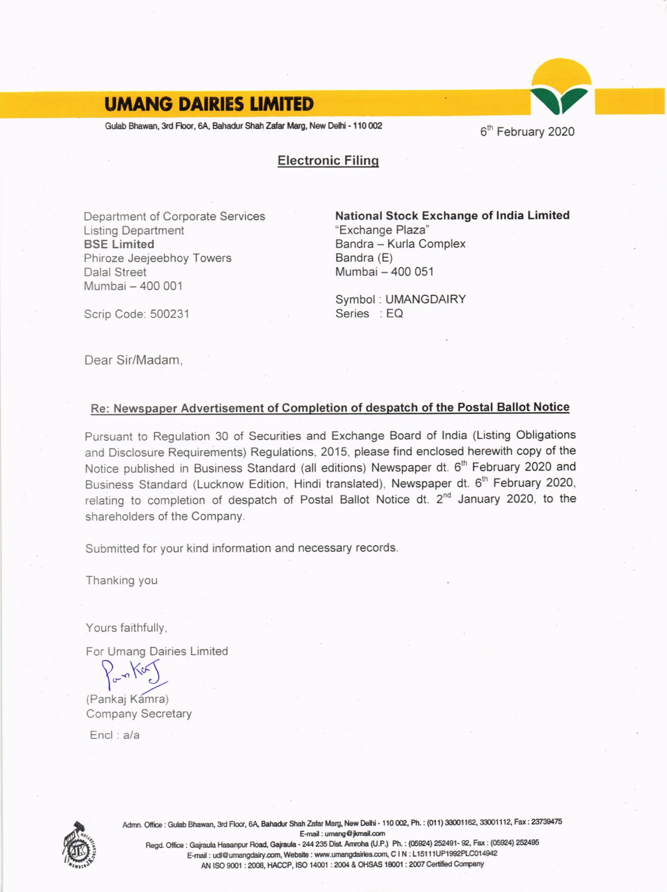### **UMANG DAIRIES LIMITED**

Gulab Bhawan, 3rd Floor, 6A, Bahadur Shah Zafar Marg, New Delhi - 110 002

6<sup>th</sup> February 2020

**Electronic Filing** 

Department of Corporate Services **Listing Department BSE Limited** Phiroze Jeejeebhoy Towers **Dalal Street** Mumbai - 400 001

National Stock Exchange of India Limited "Exchange Plaza" Bandra - Kurla Complex Bandra (E) Mumbai - 400 051

Symbol: UMANGDAIRY Series : EQ

Scrip Code: 500231

Dear Sir/Madam.

### Re: Newspaper Advertisement of Completion of despatch of the Postal Ballot Notice

Pursuant to Regulation 30 of Securities and Exchange Board of India (Listing Obligations and Disclosure Requirements) Regulations, 2015, please find enclosed herewith copy of the Notice published in Business Standard (all editions) Newspaper dt. 6<sup>th</sup> February 2020 and Business Standard (Lucknow Edition, Hindi translated), Newspaper dt. 6<sup>th</sup> February 2020, relating to completion of despatch of Postal Ballot Notice dt. 2<sup>nd</sup> January 2020, to the shareholders of the Company.

Submitted for your kind information and necessary records.

Thanking you

Yours faithfully,

For Umang Dairies Limited

(Pankaj Kamra) **Company Secretary** 

 $Encl : a/a$ 



Admn. Office: Gulab Bhawan, 3rd Floor, 6A, Bahadur Shah Zafar Marg, New Delhi - 110 002, Ph.: (011) 33001162, 33001112, Fax: 23739475 E-mail: umang@jkmail.com Regd. Office : Gajraula Hasanpur Road, Gajraula - 244 235 Dist. Amroha (U.P.) Ph. : (05924) 252491- 92, Fax : (05924) 252495 E-mail : udl@umangdairy.com, Website : www.umangdairies.com, C I N : L15111UP1992PLC014942 AN ISO 9001 : 2008, HACCP, ISO 14001 : 2004 & OHSAS 18001 : 2007 Certified Company